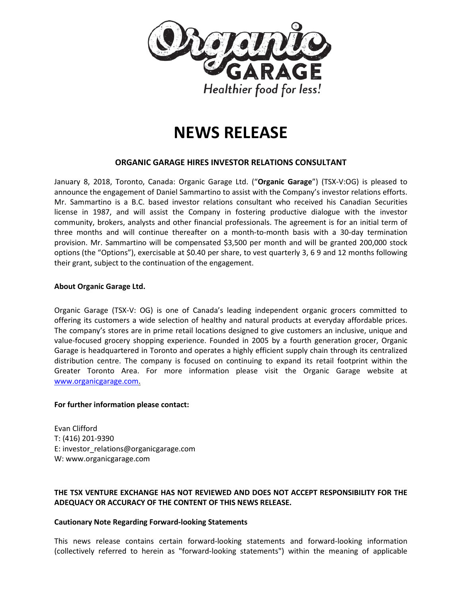

# **NEWS RELEASE**

## **ORGANIC GARAGE HIRES INVESTOR RELATIONS CONSULTANT**

January 8, 2018, Toronto, Canada: Organic Garage Ltd. ("**Organic Garage**") (TSX-V:OG) is pleased to announce the engagement of Daniel Sammartino to assist with the Company's investor relations efforts. Mr. Sammartino is a B.C. based investor relations consultant who received his Canadian Securities license in 1987, and will assist the Company in fostering productive dialogue with the investor community, brokers, analysts and other financial professionals. The agreement is for an initial term of three months and will continue thereafter on a month-to-month basis with a 30-day termination provision. Mr. Sammartino will be compensated \$3,500 per month and will be granted 200,000 stock options (the "Options"), exercisable at \$0.40 per share, to vest quarterly 3, 6 9 and 12 months following their grant, subject to the continuation of the engagement.

#### **About Organic Garage Ltd.**

Organic Garage (TSX-V: OG) is one of Canada's leading independent organic grocers committed to offering its customers a wide selection of healthy and natural products at everyday affordable prices. The company's stores are in prime retail locations designed to give customers an inclusive, unique and value-focused grocery shopping experience. Founded in 2005 by a fourth generation grocer, Organic Garage is headquartered in Toronto and operates a highly efficient supply chain through its centralized distribution centre. The company is focused on continuing to expand its retail footprint within the Greater Toronto Area. For more information please visit the Organic Garage website at [www.organicgarage.com.](http://www.organicgarage.com/)

#### **For further information please contact:**

Evan Clifford T: (416) 201-9390 E: investor\_relations@organicgarage.com W: www.organicgarage.com

### **THE TSX VENTURE EXCHANGE HAS NOT REVIEWED AND DOES NOT ACCEPT RESPONSIBILITY FOR THE ADEQUACY OR ACCURACY OF THE CONTENT OF THIS NEWS RELEASE.**

#### **Cautionary Note Regarding Forward-looking Statements**

This news release contains certain forward-looking statements and forward-looking information (collectively referred to herein as "forward-looking statements") within the meaning of applicable